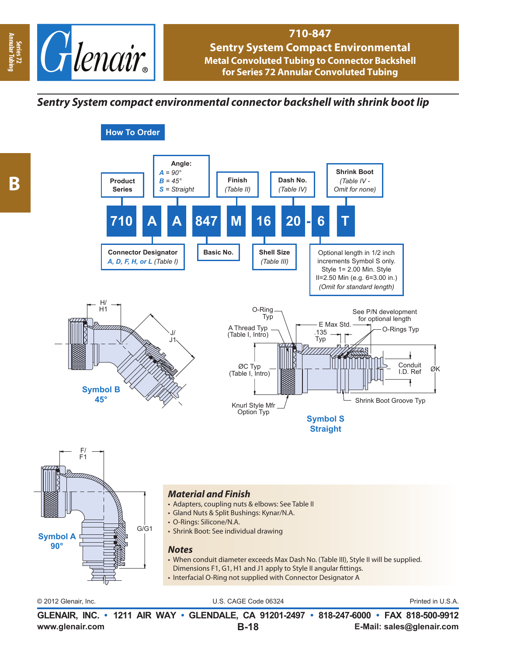

**How To Order**

## **710-847**

**Sentry System Compact Environmental Metal Convoluted Tubing to Connector Backshell for Series 72 Annular Convoluted Tubing**

*Sentry System compact environmental connector backshell with shrink boot lip*



**Annular Tubing**

**www.glenair.com E-Mail: sales@glenair.com GLENAIR, INC. • 1211 AIR WAY • GLENDALE, CA 91201-2497 • 818-247-6000 • FAX 818-500-9912 B-18**